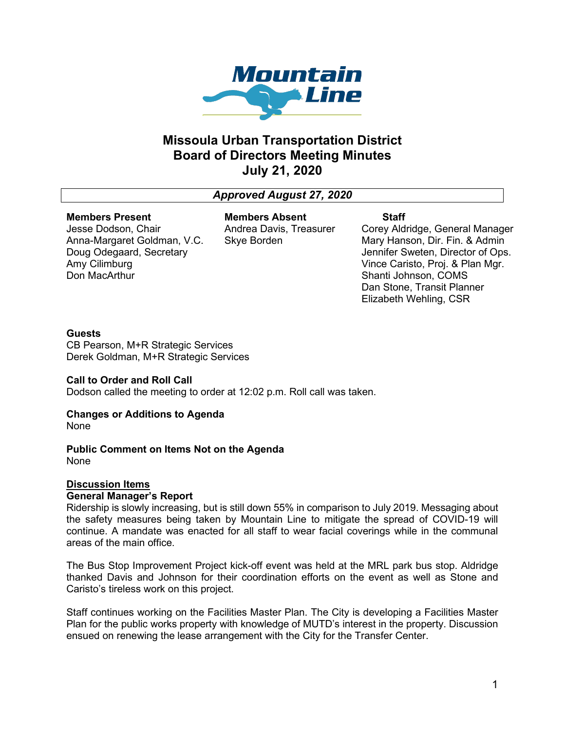

## **Missoula Urban Transportation District Board of Directors Meeting Minutes July 21, 2020**

## *Approved August 27, 2020*

#### **Members Present**

Jesse Dodson, Chair Anna-Margaret Goldman, V.C. Doug Odegaard, Secretary Amy Cilimburg Don MacArthur

**Members Absent** Andrea Davis, Treasurer Skye Borden

## **Staff**

Corey Aldridge, General Manager Mary Hanson, Dir. Fin. & Admin Jennifer Sweten, Director of Ops. Vince Caristo, Proj. & Plan Mgr. Shanti Johnson, COMS Dan Stone, Transit Planner Elizabeth Wehling, CSR

## **Guests**

CB Pearson, M+R Strategic Services Derek Goldman, M+R Strategic Services

## **Call to Order and Roll Call**

Dodson called the meeting to order at 12:02 p.m. Roll call was taken.

## **Changes or Additions to Agenda**

None

#### **Public Comment on Items Not on the Agenda** None

# **Discussion Items**

## **General Manager's Report**

Ridership is slowly increasing, but is still down 55% in comparison to July 2019. Messaging about the safety measures being taken by Mountain Line to mitigate the spread of COVID-19 will continue. A mandate was enacted for all staff to wear facial coverings while in the communal areas of the main office.

The Bus Stop Improvement Project kick-off event was held at the MRL park bus stop. Aldridge thanked Davis and Johnson for their coordination efforts on the event as well as Stone and Caristo's tireless work on this project.

Staff continues working on the Facilities Master Plan. The City is developing a Facilities Master Plan for the public works property with knowledge of MUTD's interest in the property. Discussion ensued on renewing the lease arrangement with the City for the Transfer Center.